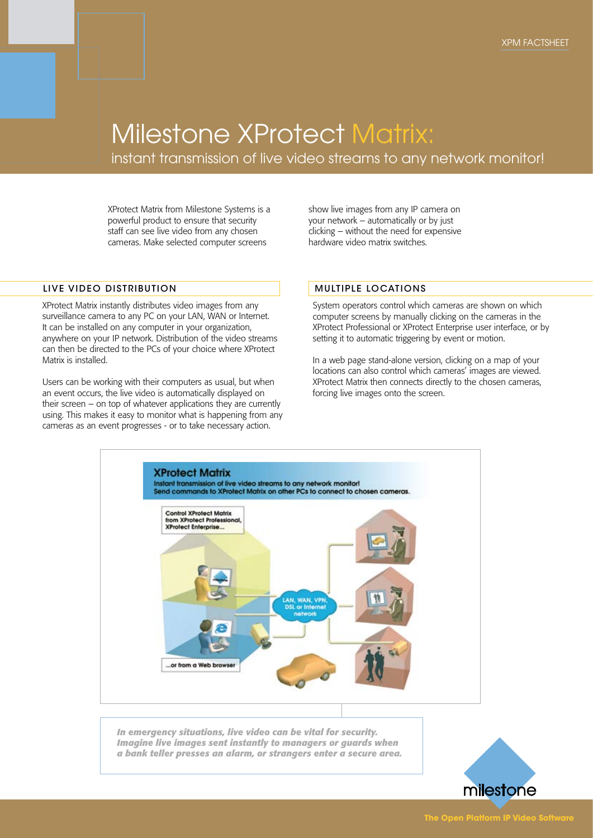## Milestone XProtect Matrix:

instant transmission of live video streams to any network monitor!

XProtect Matrix from Milestone Systems is a powerful product to ensure that security staff can see live video from any chosen cameras. Make selected computer screens

LIVE VIDEO DISTRIBUTION

XProtect Matrix instantly distributes video images from any surveillance camera to any PC on your LAN, WAN or Internet. It can be installed on any computer in your organization, anywhere on your IP network. Distribution of the video streams can then be directed to the PCs of your choice where XProtect Matrix is installed.

Users can be working with their computers as usual, but when an event occurs, the live video is automatically displayed on their screen – on top of whatever applications they are currently using. This makes it easy to monitor what is happening from any cameras as an event progresses - or to take necessary action.

show live images from any IP camera on your network – automatically or by just clicking – without the need for expensive hardware video matrix switches.

#### MULTIPLE LOCATIONS

System operators control which cameras are shown on which computer screens by manually clicking on the cameras in the XProtect Professional or XProtect Enterprise user interface, or by setting it to automatic triggering by event or motion.

In a web page stand-alone version, clicking on a map of your locations can also control which cameras' images are viewed. XProtect Matrix then connects directly to the chosen cameras, forcing live images onto the screen.



*In emergency situations, live video can be vital for security. Imagine live images sent instantly to managers or guards when a bank teller presses an alarm, or strangers enter a secure area.*